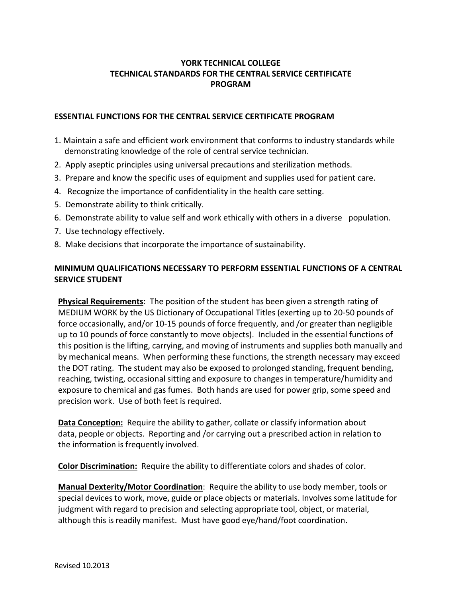## **YORK TECHNICAL COLLEGE TECHNICAL STANDARDS FOR THE CENTRAL SERVICE CERTIFICATE PROGRAM**

## **ESSENTIAL FUNCTIONS FOR THE CENTRAL SERVICE CERTIFICATE PROGRAM**

- 1. Maintain a safe and efficient work environment that conforms to industry standards while demonstrating knowledge of the role of central service technician.
- 2. Apply aseptic principles using universal precautions and sterilization methods.
- 3. Prepare and know the specific uses of equipment and supplies used for patient care.
- 4. Recognize the importance of confidentiality in the health care setting.
- 5. Demonstrate ability to think critically.
- 6. Demonstrate ability to value self and work ethically with others in a diverse population.
- 7. Use technology effectively.
- 8. Make decisions that incorporate the importance of sustainability.

## **MINIMUM QUALIFICATIONS NECESSARY TO PERFORM ESSENTIAL FUNCTIONS OF A CENTRAL SERVICE STUDENT**

**Physical Requirements**: The position of the student has been given a strength rating of MEDIUM WORK by the US Dictionary of Occupational Titles (exerting up to 20-50 pounds of force occasionally, and/or 10-15 pounds of force frequently, and /or greater than negligible up to 10 pounds of force constantly to move objects). Included in the essential functions of this position is the lifting, carrying, and moving of instruments and supplies both manually and by mechanical means. When performing these functions, the strength necessary may exceed the DOT rating. The student may also be exposed to prolonged standing, frequent bending, reaching, twisting, occasional sitting and exposure to changes in temperature/humidity and exposure to chemical and gas fumes. Both hands are used for power grip, some speed and precision work. Use of both feet is required.

**Data Conception:** Require the ability to gather, collate or classify information about data, people or objects. Reporting and /or carrying out a prescribed action in relation to the information is frequently involved.

**Color Discrimination:** Require the ability to differentiate colors and shades of color.

**Manual Dexterity/Motor Coordination**: Require the ability to use body member, tools or special devices to work, move, guide or place objects or materials. Involves some latitude for judgment with regard to precision and selecting appropriate tool, object, or material, although this is readily manifest. Must have good eye/hand/foot coordination.